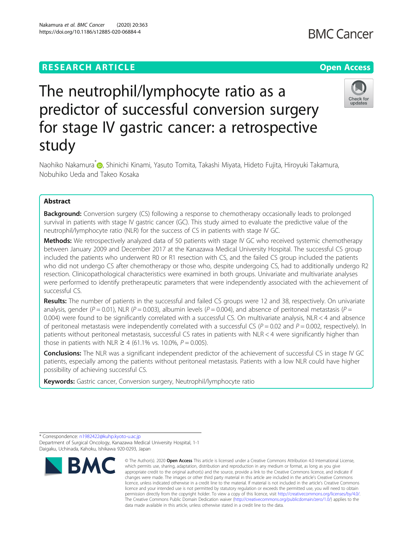## **RESEARCH ARTICLE Example 2014 12:30 The Contract of Contract ACCESS**

# The neutrophil/lymphocyte ratio as a predictor of successful conversion surgery for stage IV gastric cancer: a retrospective study

Naohiko Nakamura<sup>[\\*](http://orcid.org/0000-0002-5542-0163)</sup> (**p.** Shinichi Kinami, Yasuto Tomita, Takashi Miyata, Hideto Fujita, Hiroyuki Takamura, Nobuhiko Ueda and Takeo Kosaka

## Abstract

**Background:** Conversion surgery (CS) following a response to chemotherapy occasionally leads to prolonged survival in patients with stage IV gastric cancer (GC). This study aimed to evaluate the predictive value of the neutrophil/lymphocyte ratio (NLR) for the success of CS in patients with stage IV GC.

**Methods:** We retrospectively analyzed data of 50 patients with stage IV GC who received systemic chemotherapy between January 2009 and December 2017 at the Kanazawa Medical University Hospital. The successful CS group included the patients who underwent R0 or R1 resection with CS, and the failed CS group included the patients who did not undergo CS after chemotherapy or those who, despite undergoing CS, had to additionally undergo R2 resection. Clinicopathological characteristics were examined in both groups. Univariate and multivariate analyses were performed to identify pretherapeutic parameters that were independently associated with the achievement of successful CS.

Results: The number of patients in the successful and failed CS groups were 12 and 38, respectively. On univariate analysis, gender (P = 0.01), NLR (P = 0.003), albumin levels (P = 0.004), and absence of peritoneal metastasis (P = 0.004) were found to be significantly correlated with a successful CS. On multivariate analysis, NLR < 4 and absence of peritoneal metastasis were independently correlated with a successful CS ( $P = 0.02$  and  $P = 0.002$ , respectively). In patients without peritoneal metastasis, successful CS rates in patients with NLR < 4 were significantly higher than those in patients with NLR  $\geq$  4 (61.1% vs. 10.0%,  $P = 0.005$ ).

**Conclusions:** The NLR was a significant independent predictor of the achievement of successful CS in stage IV GC patients, especially among the patients without peritoneal metastasis. Patients with a low NLR could have higher possibility of achieving successful CS.

Keywords: Gastric cancer, Conversion surgery, Neutrophil/lymphocyte ratio







<sup>©</sup> The Author(s), 2020 **Open Access** This article is licensed under a Creative Commons Attribution 4.0 International License, which permits use, sharing, adaptation, distribution and reproduction in any medium or format, as long as you give appropriate credit to the original author(s) and the source, provide a link to the Creative Commons licence, and indicate if changes were made. The images or other third party material in this article are included in the article's Creative Commons licence, unless indicated otherwise in a credit line to the material. If material is not included in the article's Creative Commons licence and your intended use is not permitted by statutory regulation or exceeds the permitted use, you will need to obtain permission directly from the copyright holder. To view a copy of this licence, visit [http://creativecommons.org/licenses/by/4.0/.](http://creativecommons.org/licenses/by/4.0/) The Creative Commons Public Domain Dedication waiver [\(http://creativecommons.org/publicdomain/zero/1.0/](http://creativecommons.org/publicdomain/zero/1.0/)) applies to the data made available in this article, unless otherwise stated in a credit line to the data.

<sup>\*</sup> Correspondence: [n1982422@kuhp.kyoto-u.ac.jp](mailto:n1982422@kuhp.kyoto-u.ac.jp) Department of Surgical Oncology, Kanazawa Medical University Hospital, 1-1 Daigaku, Uchinada, Kahoku, Ishikawa 920-0293, Japan

Check for undates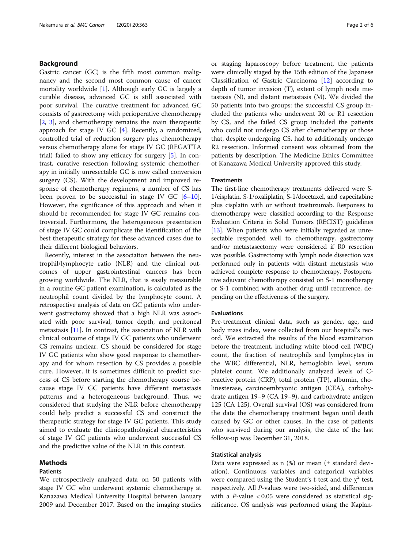## Background

Gastric cancer (GC) is the fifth most common malignancy and the second most common cause of cancer mortality worldwide [\[1](#page-5-0)]. Although early GC is largely a curable disease, advanced GC is still associated with poor survival. The curative treatment for advanced GC consists of gastrectomy with perioperative chemotherapy [[2,](#page-5-0) [3\]](#page-5-0), and chemotherapy remains the main therapeutic approach for stage IV GC [\[4](#page-5-0)]. Recently, a randomized, controlled trial of reduction surgery plus chemotherapy versus chemotherapy alone for stage IV GC (REGATTA trial) failed to show any efficacy for surgery [[5\]](#page-5-0). In contrast, curative resection following systemic chemotherapy in initially unresectable GC is now called conversion surgery (CS). With the development and improved response of chemotherapy regimens, a number of CS has been proven to be successful in stage IV GC  $[6-10]$  $[6-10]$  $[6-10]$  $[6-10]$  $[6-10]$ . However, the significance of this approach and when it should be recommended for stage IV GC remains controversial. Furthermore, the heterogeneous presentation of stage IV GC could complicate the identification of the best therapeutic strategy for these advanced cases due to their different biological behaviors.

Recently, interest in the association between the neutrophil/lymphocyte ratio (NLR) and the clinical outcomes of upper gastrointestinal cancers has been growing worldwide. The NLR, that is easily measurable in a routine GC patient examination, is calculated as the neutrophil count divided by the lymphocyte count. A retrospective analysis of data on GC patients who underwent gastrectomy showed that a high NLR was associated with poor survival, tumor depth, and peritoneal metastasis [[11\]](#page-5-0). In contrast, the association of NLR with clinical outcome of stage IV GC patients who underwent CS remains unclear. CS should be considered for stage IV GC patients who show good response to chemotherapy and for whom resection by CS provides a possible cure. However, it is sometimes difficult to predict success of CS before starting the chemotherapy course because stage IV GC patients have different metastasis patterns and a heterogeneous background. Thus, we considered that studying the NLR before chemotherapy could help predict a successful CS and construct the therapeutic strategy for stage IV GC patients. This study aimed to evaluate the clinicopathological characteristics of stage IV GC patients who underwent successful CS and the predictive value of the NLR in this context.

#### Methods

## Patients

We retrospectively analyzed data on 50 patients with stage IV GC who underwent systemic chemotherapy at Kanazawa Medical University Hospital between January 2009 and December 2017. Based on the imaging studies or staging laparoscopy before treatment, the patients were clinically staged by the 15th edition of the Japanese Classification of Gastric Carcinoma [\[12](#page-5-0)] according to depth of tumor invasion (T), extent of lymph node metastasis (N), and distant metastasis (M). We divided the 50 patients into two groups: the successful CS group included the patients who underwent R0 or R1 resection by CS, and the failed CS group included the patients who could not undergo CS after chemotherapy or those that, despite undergoing CS, had to additionally undergo R2 resection. Informed consent was obtained from the patients by description. The Medicine Ethics Committee of Kanazawa Medical University approved this study.

### **Treatments**

The first-line chemotherapy treatments delivered were S-1/cisplatin, S-1/oxaliplatin, S-1/docetaxel, and capecitabine plus cisplatin with or without trastuzumab. Responses to chemotherapy were classified according to the Response Evaluation Criteria in Solid Tumors (RECIST) guidelines [[13](#page-5-0)]. When patients who were initially regarded as unresectable responded well to chemotherapy, gastrectomy and/or metastasectomy were considered if R0 resection was possible. Gastrectomy with lymph node dissection was performed only in patients with distant metastasis who achieved complete response to chemotherapy. Postoperative adjuvant chemotherapy consisted on S-1 monotherapy or S-1 combined with another drug until recurrence, depending on the effectiveness of the surgery.

#### Evaluations

Pre-treatment clinical data, such as gender, age, and body mass index, were collected from our hospital's record. We extracted the results of the blood examination before the treatment, including white blood cell (WBC) count, the fraction of neutrophils and lymphocytes in the WBC differential, NLR, hemoglobin level, serum platelet count. We additionally analyzed levels of Creactive protein (CRP), total protein (TP), albumin, cholinesterase, carcinoembryonic antigen (CEA), carbohydrate antigen 19–9 (CA 19–9), and carbohydrate antigen 125 (CA 125). Overall survival (OS) was considered from the date the chemotherapy treatment began until death caused by GC or other causes. In the case of patients who survived during our analysis, the date of the last follow-up was December 31, 2018.

#### Statistical analysis

Data were expressed as  $n$  (%) or mean ( $\pm$  standard deviation). Continuous variables and categorical variables were compared using the Student's t-test and the  $\chi^2$  test, respectively. All P-values were two-sided, and differences with a P-value  $< 0.05$  were considered as statistical significance. OS analysis was performed using the Kaplan-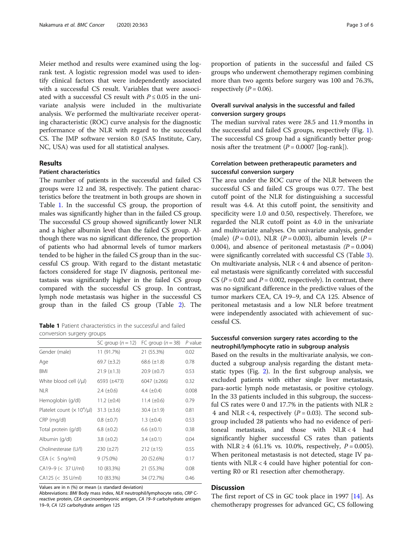Meier method and results were examined using the logrank test. A logistic regression model was used to identify clinical factors that were independently associated with a successful CS result. Variables that were associated with a successful CS result with  $P \le 0.05$  in the univariate analysis were included in the multivariate analysis. We performed the multivariate receiver operating characteristic (ROC) curve analysis for the diagnostic performance of the NLR with regard to the successful CS. The JMP software version 8.0 (SAS Institute, Cary, NC, USA) was used for all statistical analyses.

## Results

## Patient characteristics

The number of patients in the successful and failed CS groups were 12 and 38, respectively. The patient characteristics before the treatment in both groups are shown in Table 1. In the successful CS group, the proportion of males was significantly higher than in the failed CS group. The successful CS group showed significantly lower NLR and a higher albumin level than the failed CS group. Although there was no significant difference, the proportion of patients who had abnormal levels of tumor markers tended to be higher in the failed CS group than in the successful CS group. With regard to the distant metastatic factors considered for stage IV diagnosis, peritoneal metastasis was significantly higher in the failed CS group compared with the successful CS group. In contrast, lymph node metastasis was higher in the successful CS group than in the failed CS group (Table [2](#page-3-0)). The

Table 1 Patient characteristics in the successful and failed conversion surgery groups

|                                 | SC group $(n=12)$  | FC group $(n = 38)$ | $P$ value |
|---------------------------------|--------------------|---------------------|-----------|
| Gender (male)                   | 11 (91.7%)         | 21 (55.3%)          | 0.02      |
| Age                             | 69.7 $(\pm 3.2)$   | 68.6 $(\pm 1.8)$    | 0.78      |
| BMI                             | $21.9 \ (\pm 1.3)$ | $20.9 \ (\pm 0.7)$  | 0.53      |
| White blood cell (/µl)          | $6593 (\pm 473)$   | $6047 (\pm 266)$    | 0.32      |
| <b>NLR</b>                      | $2.4~(\pm 0.6)$    | 4.4 $(\pm 0.4)$     | 0.008     |
| Hemoglobin (g/dl)               | 11.2 $(\pm 0.4)$   | 11.4 $(\pm 0.6)$    | 0.79      |
| Platelet count $(x 10^4/\mu l)$ | $31.3 \ (\pm 3.6)$ | $30.4 \ (\pm 1.9)$  | 0.81      |
| CRP (mg/dl)                     | $0.8 \ (\pm 0.7)$  | 1.3 $(\pm 0.4)$     | 0.53      |
| Total protein (g/dl)            | 6.8 $(\pm 0.2)$    | 6.6 $(\pm 0.1)$     | 0.38      |
| Albumin (g/dl)                  | 3.8 $(\pm 0.2)$    | $3.4 \ (\pm 0.1)$   | 0.04      |
| Cholinesterase (U/l)            | $230 (\pm 27)$     | $212 (\pm 15)$      | 0.55      |
| $CEA \ (5 \, \text{ng/ml})$     | $9(75.0\%)$        | 20 (52.6%)          | 0.17      |
| CA19-9 (< 37 U/ml)              | 10 (83.3%)         | 21 (55.3%)          | 0.08      |
| CA125 (< 35 U/ml)               | 10 (83.3%)         | 34 (72.7%)          | 0.46      |

Values are in n  $(%)$  or mean  $(±$  standard deviation)

Abbreviations: BMI Body mass index, NLR neutrophil/lymphocyte ratio, CRP Creactive protein, CEA carcinoembryonic antigen, CA 19–9 carbohydrate antigen 19–9, CA 125 carbohydrate antigen 125

proportion of patients in the successful and failed CS groups who underwent chemotherapy regimen combining more than two agents before surgery was 100 and 76.3%, respectively ( $P = 0.06$ ).

## Overall survival analysis in the successful and failed conversion surgery groups

The median survival rates were 28.5 and 11.9 months in the successful and failed CS groups, respectively (Fig. [1](#page-3-0)). The successful CS group had a significantly better prognosis after the treatment  $(P = 0.0007$  [log-rank]).

## Correlation between pretherapeutic parameters and successful conversion surgery

The area under the ROC curve of the NLR between the successful CS and failed CS groups was 0.77. The best cutoff point of the NLR for distinguishing a successful result was 4.4. At this cutoff point, the sensitivity and specificity were 1.0 and 0.50, respectively. Therefore, we regarded the NLR cutoff point as 4.0 in the univariate and multivariate analyses. On univariate analysis, gender (male)  $(P = 0.01)$ , NLR  $(P = 0.003)$ , albumin levels  $(P = 0.01)$ 0.004), and absence of peritoneal metastasis  $(P = 0.004)$ were significantly correlated with successful CS (Table [3](#page-4-0)). On multivariate analysis, NLR < 4 and absence of peritoneal metastasis were significantly correlated with successful CS ( $P = 0.02$  and  $P = 0.002$ , respectively). In contrast, there was no significant difference in the predictive values of the tumor markers CEA, CA 19–9, and CA 125. Absence of peritoneal metastasis and a low NLR before treatment were independently associated with achievement of successful CS.

## Successful conversion surgery rates according to the neutrophil/lymphocyte ratio in subgroup analysis

Based on the results in the multivariate analysis, we conducted a subgroup analysis regarding the distant metastatic types (Fig. [2](#page-4-0)). In the first subgroup analysis, we excluded patients with either single liver metastasis, para-aortic lymph node metastasis, or positive cytology. In the 33 patients included in this subgroup, the successful CS rates were 0 and 17.7% in the patients with NLR  $\ge$ 4 and NLR < 4, respectively ( $P = 0.03$ ). The second subgroup included 28 patients who had no evidence of peritoneal metastasis, and those with  $NLR < 4$  had significantly higher successful CS rates than patients with NLR ≥ 4 (61.1% vs. 10.0%, respectively,  $P = 0.005$ ). When peritoneal metastasis is not detected, stage IV patients with NLR < 4 could have higher potential for converting R0 or R1 resection after chemotherapy.

## **Discussion**

The first report of CS in GC took place in 1997 [\[14](#page-5-0)]. As chemotherapy progresses for advanced GC, CS following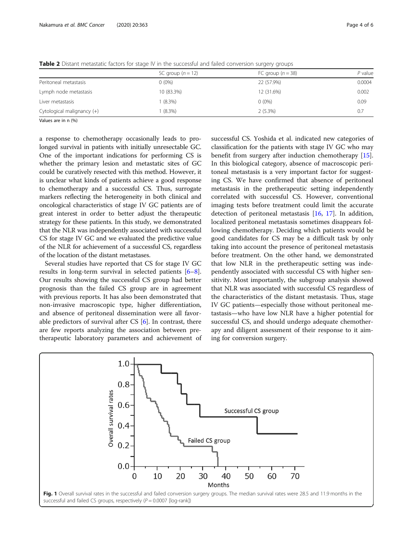|                            | SC group $(n = 12)$ | FC group $(n = 38)$ | $P$ value |
|----------------------------|---------------------|---------------------|-----------|
| Peritoneal metastasis      | $0(0\%)$            | 22 (57.9%)          | 0.0004    |
| Lymph node metastasis      | 10 (83.3%)          | 12 (31.6%)          | 0.002     |
| Liver metastasis           | $(8.3\%)$           | $0(0\%)$            | 0.09      |
| Cytological malignancy (+) | $(8.3\%)$           | 2(5.3%)             | 0.7       |

<span id="page-3-0"></span>Table 2 Distant metastatic factors for stage IV in the successful and failed conversion surgery groups

Values are in n (%)

a response to chemotherapy occasionally leads to prolonged survival in patients with initially unresectable GC. One of the important indications for performing CS is whether the primary lesion and metastatic sites of GC could be curatively resected with this method. However, it is unclear what kinds of patients achieve a good response to chemotherapy and a successful CS. Thus, surrogate markers reflecting the heterogeneity in both clinical and oncological characteristics of stage IV GC patients are of great interest in order to better adjust the therapeutic strategy for these patients. In this study, we demonstrated that the NLR was independently associated with successful CS for stage IV GC and we evaluated the predictive value of the NLR for achievement of a successful CS, regardless of the location of the distant metastases.

Several studies have reported that CS for stage IV GC results in long-term survival in selected patients [\[6](#page-5-0)–[8](#page-5-0)]. Our results showing the successful CS group had better prognosis than the failed CS group are in agreement with previous reports. It has also been demonstrated that non-invasive macroscopic type, higher differentiation, and absence of peritoneal dissemination were all favorable predictors of survival after CS [[6\]](#page-5-0). In contrast, there are few reports analyzing the association between pretherapeutic laboratory parameters and achievement of successful CS. Yoshida et al. indicated new categories of classification for the patients with stage IV GC who may benefit from surgery after induction chemotherapy [\[15](#page-5-0)]. In this biological category, absence of macroscopic peritoneal metastasis is a very important factor for suggesting CS. We have confirmed that absence of peritoneal metastasis in the pretherapeutic setting independently correlated with successful CS. However, conventional imaging tests before treatment could limit the accurate detection of peritoneal metastasis [[16,](#page-5-0) [17\]](#page-5-0). In addition, localized peritoneal metastasis sometimes disappears following chemotherapy. Deciding which patients would be good candidates for CS may be a difficult task by only taking into account the presence of peritoneal metastasis before treatment. On the other hand, we demonstrated that low NLR in the pretherapeutic setting was independently associated with successful CS with higher sensitivity. Most importantly, the subgroup analysis showed that NLR was associated with successful CS regardless of the characteristics of the distant metastasis. Thus, stage IV GC patients—especially those without peritoneal metastasis—who have low NLR have a higher potential for successful CS, and should undergo adequate chemotherapy and diligent assessment of their response to it aiming for conversion surgery.

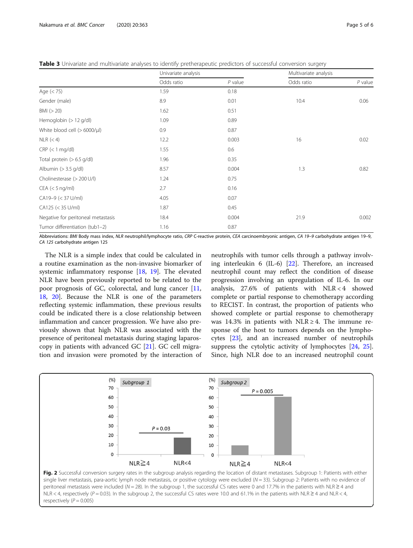<span id="page-4-0"></span>Table 3 Univariate and multivariate analyses to identify pretherapeutic predictors of successful conversion surgery

|                                     | Univariate analysis |           | Multivariate analysis |           |
|-------------------------------------|---------------------|-----------|-----------------------|-----------|
|                                     | Odds ratio          | $P$ value | Odds ratio            | $P$ value |
| Age $(< 75)$                        | 1.59                | 0.18      |                       |           |
| Gender (male)                       | 8.9                 | 0.01      | 10.4                  | 0.06      |
| BMI (> 20)                          | 1.62                | 0.51      |                       |           |
| Hemoglobin (> 12 g/dl)              | 1.09                | 0.89      |                       |           |
| White blood cell (> 6000/µl)        | 0.9                 | 0.87      |                       |           |
| $NLR$ (< 4)                         | 12.2                | 0.003     | 16                    | 0.02      |
| $CRP$ (< 1 mg/dl)                   | 1.55                | 0.6       |                       |           |
| Total protein $(>6.5 \text{ g/dl})$ | 1.96                | 0.35      |                       |           |
| Albumin $(> 3.5$ g/dl)              | 8.57                | 0.004     | 1.3                   | 0.82      |
| Cholinesterase (> 200 U/l)          | 1.24                | 0.75      |                       |           |
| $CEA$ (< 5 ng/ml)                   | 2.7                 | 0.16      |                       |           |
| CA19-9 (< 37 U/ml)                  | 4.05                | 0.07      |                       |           |
| CA125 (< 35 U/ml)                   | 1.87                | 0.45      |                       |           |
| Negative for peritoneal metastasis  | 18.4                | 0.004     | 21.9                  | 0.002     |
| Tumor differentiation (tub1-2)      | 1.16                | 0.87      |                       |           |

Abbreviations: BMI Body mass index, NLR neutrophil/lymphocyte ratio, CRP C-reactive protein, CEA carcinoembryonic antigen, CA 19-9 carbohydrate antigen 19-9, CA 125 carbohydrate antigen 125

The NLR is a simple index that could be calculated in a routine examination as the non-invasive biomarker of systemic inflammatory response [[18,](#page-5-0) [19](#page-5-0)]. The elevated NLR have been previously reported to be related to the poor prognosis of GC, colorectal, and lung cancer [[11](#page-5-0), [18,](#page-5-0) [20\]](#page-5-0). Because the NLR is one of the parameters reflecting systemic inflammation, these previous results could be indicated there is a close relationship between inflammation and cancer progression. We have also previously shown that high NLR was associated with the presence of peritoneal metastasis during staging laparoscopy in patients with advanced GC [[21\]](#page-5-0). GC cell migration and invasion were promoted by the interaction of

neutrophils with tumor cells through a pathway involving interleukin 6 (IL-6) [[22\]](#page-5-0). Therefore, an increased neutrophil count may reflect the condition of disease progression involving an upregulation of IL-6. In our analysis,  $27.6\%$  of patients with NLR < 4 showed complete or partial response to chemotherapy according to RECIST. In contrast, the proportion of patients who showed complete or partial response to chemotherapy was 14.3% in patients with NLR  $\geq$  4. The immune response of the host to tumors depends on the lymphocytes [[23](#page-5-0)], and an increased number of neutrophils suppress the cytolytic activity of lymphocytes [[24,](#page-5-0) [25](#page-5-0)]. Since, high NLR doe to an increased neutrophil count